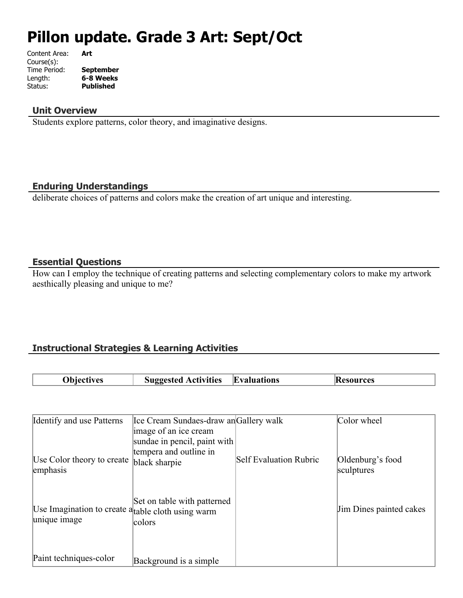# **Pillon update. Grade 3 Art: Sept/Oct**

| Content Area: | Art              |
|---------------|------------------|
| Course(s):    |                  |
| Time Period:  | <b>September</b> |
| Length:       | 6-8 Weeks        |
| Status:       | <b>Published</b> |
|               |                  |

#### **Unit Overview**

Students explore patterns, color theory, and imaginative designs.

## **Enduring Understandings**

deliberate choices of patterns and colors make the creation of art unique and interesting.

## **Essential Questions**

How can I employ the technique of creating patterns and selecting complementary colors to make my artwork aesthically pleasing and unique to me?

## **Instructional Strategies & Learning Activities**

| <b>Objectives</b> | <b>Suggested Activities</b> | <b>Evaluations</b> | <b>Resources</b> |
|-------------------|-----------------------------|--------------------|------------------|

| Identify and use Patterns                                                     | Ice Cream Sundaes-draw an Gallery walk                                  |                               | Color wheel                    |
|-------------------------------------------------------------------------------|-------------------------------------------------------------------------|-------------------------------|--------------------------------|
|                                                                               | image of an ice cream                                                   |                               |                                |
| Use Color theory to create<br>emphasis                                        | sundae in pencil, paint with<br>tempera and outline in<br>black sharpie | <b>Self Evaluation Rubric</b> | Oldenburg's food<br>sculptures |
| Use Imagination to create a <sub>table</sub> cloth using warm<br>unique image | Set on table with patterned<br>colors                                   |                               | Jim Dines painted cakes        |
| Paint techniques-color                                                        | Background is a simple                                                  |                               |                                |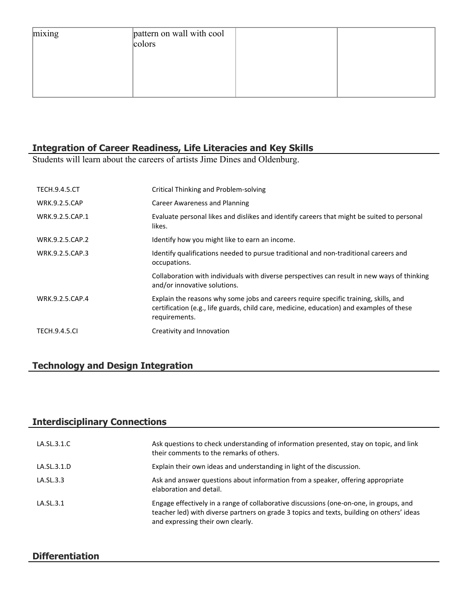| mixing | pattern on wall with cool<br>colors |  |
|--------|-------------------------------------|--|
|        |                                     |  |
|        |                                     |  |

# **Integration of Career Readiness, Life Literacies and Key Skills**

Students will learn about the careers of artists Jime Dines and Oldenburg.

| <b>TECH.9.4.5.CT</b> | Critical Thinking and Problem-solving                                                                                                                                                             |
|----------------------|---------------------------------------------------------------------------------------------------------------------------------------------------------------------------------------------------|
| <b>WRK.9.2.5.CAP</b> | Career Awareness and Planning                                                                                                                                                                     |
| WRK.9.2.5.CAP.1      | Evaluate personal likes and dislikes and identify careers that might be suited to personal<br>likes.                                                                                              |
| WRK.9.2.5.CAP.2      | Identify how you might like to earn an income.                                                                                                                                                    |
| WRK.9.2.5.CAP.3      | Identify qualifications needed to pursue traditional and non-traditional careers and<br>occupations.                                                                                              |
|                      | Collaboration with individuals with diverse perspectives can result in new ways of thinking<br>and/or innovative solutions.                                                                       |
| WRK.9.2.5.CAP.4      | Explain the reasons why some jobs and careers require specific training, skills, and<br>certification (e.g., life guards, child care, medicine, education) and examples of these<br>requirements. |
| <b>TECH.9.4.5.CI</b> | Creativity and Innovation                                                                                                                                                                         |

## **Technology and Design Integration**

## **Interdisciplinary Connections**

| LA.SL.3.1.C | Ask questions to check understanding of information presented, stay on topic, and link<br>their comments to the remarks of others.                                                                                       |
|-------------|--------------------------------------------------------------------------------------------------------------------------------------------------------------------------------------------------------------------------|
| LA.SL.3.1.D | Explain their own ideas and understanding in light of the discussion.                                                                                                                                                    |
| LA.SL.3.3   | Ask and answer questions about information from a speaker, offering appropriate<br>elaboration and detail.                                                                                                               |
| LA.SL.3.1   | Engage effectively in a range of collaborative discussions (one-on-one, in groups, and<br>teacher led) with diverse partners on grade 3 topics and texts, building on others' ideas<br>and expressing their own clearly. |

## **Differentiation**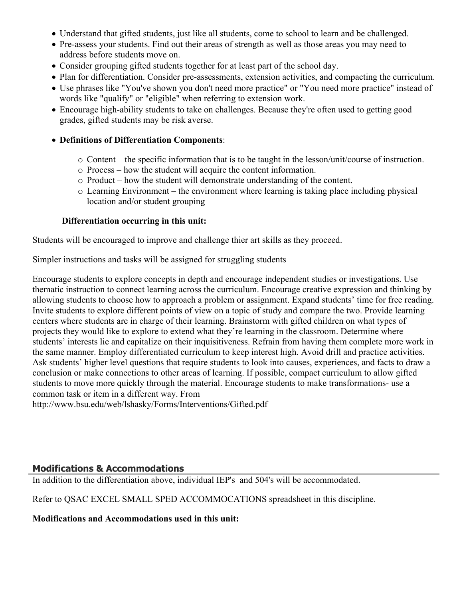- Understand that gifted students, just like all students, come to school to learn and be challenged.
- Pre-assess your students. Find out their areas of strength as well as those areas you may need to address before students move on.
- Consider grouping gifted students together for at least part of the school day.
- Plan for differentiation. Consider pre-assessments, extension activities, and compacting the curriculum.
- Use phrases like "You've shown you don't need more practice" or "You need more practice" instead of words like "qualify" or "eligible" when referring to extension work.
- Encourage high-ability students to take on challenges. Because they're often used to getting good grades, gifted students may be risk averse.

## **Definitions of Differentiation Components**:

- o Content the specific information that is to be taught in the lesson/unit/course of instruction.
- o Process how the student will acquire the content information.
- o Product how the student will demonstrate understanding of the content.
- o Learning Environment the environment where learning is taking place including physical location and/or student grouping

## **Differentiation occurring in this unit:**

Students will be encouraged to improve and challenge thier art skills as they proceed.

Simpler instructions and tasks will be assigned for struggling students

Encourage students to explore concepts in depth and encourage independent studies or investigations. Use thematic instruction to connect learning across the curriculum. Encourage creative expression and thinking by allowing students to choose how to approach a problem or assignment. Expand students' time for free reading. Invite students to explore different points of view on a topic of study and compare the two. Provide learning centers where students are in charge of their learning. Brainstorm with gifted children on what types of projects they would like to explore to extend what they're learning in the classroom. Determine where students' interests lie and capitalize on their inquisitiveness. Refrain from having them complete more work in the same manner. Employ differentiated curriculum to keep interest high. Avoid drill and practice activities. Ask students' higher level questions that require students to look into causes, experiences, and facts to draw a conclusion or make connections to other areas of learning. If possible, compact curriculum to allow gifted students to move more quickly through the material. Encourage students to make transformations- use a common task or item in a different way. From

http://www.bsu.edu/web/lshasky/Forms/Interventions/Gifted.pdf

## **Modifications & Accommodations**

In addition to the differentiation above, individual IEP's and 504's will be accommodated.

Refer to QSAC EXCEL SMALL SPED ACCOMMOCATIONS spreadsheet in this discipline.

**Modifications and Accommodations used in this unit:**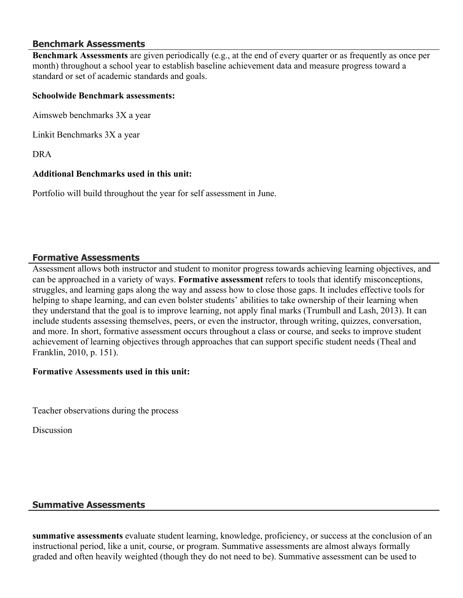## **Benchmark Assessments**

**Benchmark Assessments** are given periodically (e.g., at the end of every quarter or as frequently as once per month) throughout a school year to establish baseline achievement data and measure progress toward a standard or set of academic standards and goals.

## **Schoolwide Benchmark assessments:**

Aimsweb benchmarks 3X a year

Linkit Benchmarks 3X a year

DRA

## **Additional Benchmarks used in this unit:**

Portfolio will build throughout the year for self assessment in June.

## **Formative Assessments**

Assessment allows both instructor and student to monitor progress towards achieving learning objectives, and can be approached in a variety of ways. **Formative assessment** refers to tools that identify misconceptions, struggles, and learning gaps along the way and assess how to close those gaps. It includes effective tools for helping to shape learning, and can even bolster students' abilities to take ownership of their learning when they understand that the goal is to improve learning, not apply final marks (Trumbull and Lash, 2013). It can include students assessing themselves, peers, or even the instructor, through writing, quizzes, conversation, and more. In short, formative assessment occurs throughout a class or course, and seeks to improve student achievement of learning objectives through approaches that can support specific student needs (Theal and Franklin, 2010, p. 151).

## **Formative Assessments used in this unit:**

Teacher observations during the process

**Discussion** 

## **Summative Assessments**

**summative assessments** evaluate student learning, knowledge, proficiency, or success at the conclusion of an instructional period, like a unit, course, or program. Summative assessments are almost always formally graded and often heavily weighted (though they do not need to be). Summative assessment can be used to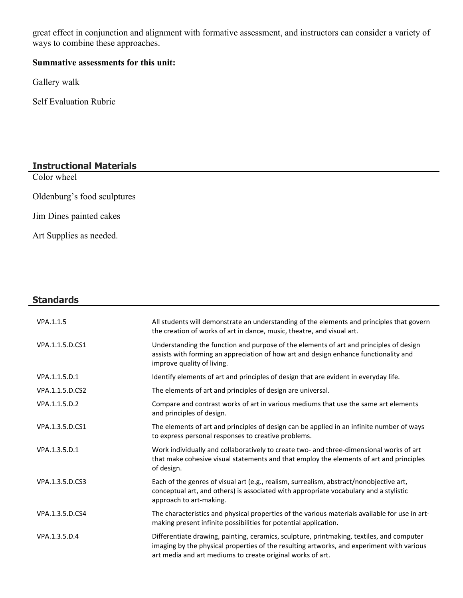great effect in conjunction and alignment with formative assessment, and instructors can consider a variety of ways to combine these approaches.

## **Summative assessments for this unit:**

Gallery walk

Self Evaluation Rubric

## **Instructional Materials**

Color wheel

Oldenburg's food sculptures

Jim Dines painted cakes

Art Supplies as needed.

## **Standards**

| VPA.1.1.5       | All students will demonstrate an understanding of the elements and principles that govern<br>the creation of works of art in dance, music, theatre, and visual art.                                                                                  |
|-----------------|------------------------------------------------------------------------------------------------------------------------------------------------------------------------------------------------------------------------------------------------------|
| VPA.1.1.5.D.CS1 | Understanding the function and purpose of the elements of art and principles of design<br>assists with forming an appreciation of how art and design enhance functionality and<br>improve quality of living.                                         |
| VPA.1.1.5.D.1   | Identify elements of art and principles of design that are evident in everyday life.                                                                                                                                                                 |
| VPA.1.1.5.D.CS2 | The elements of art and principles of design are universal.                                                                                                                                                                                          |
| VPA.1.1.5.D.2   | Compare and contrast works of art in various mediums that use the same art elements<br>and principles of design.                                                                                                                                     |
| VPA.1.3.5.D.CS1 | The elements of art and principles of design can be applied in an infinite number of ways<br>to express personal responses to creative problems.                                                                                                     |
| VPA.1.3.5.D.1   | Work individually and collaboratively to create two- and three-dimensional works of art<br>that make cohesive visual statements and that employ the elements of art and principles<br>of design.                                                     |
| VPA.1.3.5.D.CS3 | Each of the genres of visual art (e.g., realism, surrealism, abstract/nonobjective art,<br>conceptual art, and others) is associated with appropriate vocabulary and a stylistic<br>approach to art-making.                                          |
| VPA.1.3.5.D.CS4 | The characteristics and physical properties of the various materials available for use in art-<br>making present infinite possibilities for potential application.                                                                                   |
| VPA.1.3.5.D.4   | Differentiate drawing, painting, ceramics, sculpture, printmaking, textiles, and computer<br>imaging by the physical properties of the resulting artworks, and experiment with various<br>art media and art mediums to create original works of art. |